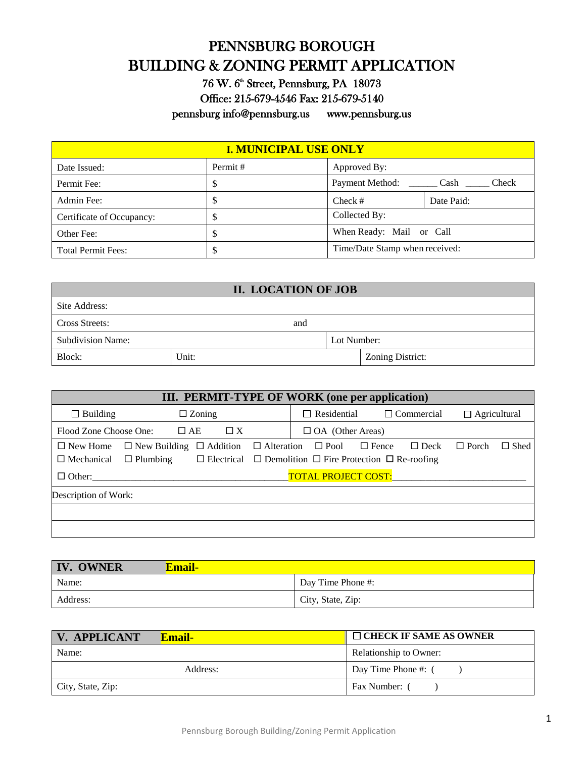# PENNSBURG BOROUGH BUILDING & ZONING PERMIT APPLICATION

76 W. 6<sup>th</sup> Street, Pennsburg, PA 18073 Office: 215-679-4546 Fax: 215-679-5140 pennsburg [info@pennsburg.us](mailto:info@pennsburg.us) [www.pennsburg.us](http://www.pennsburg.us/) 

| <b>I. MUNICIPAL USE ONLY</b> |          |                                |               |
|------------------------------|----------|--------------------------------|---------------|
| Date Issued:                 | Permit # | Approved By:                   |               |
| Permit Fee:                  | S        | Payment Method:                | Cash<br>Check |
| Admin Fee:                   |          | Check #                        | Date Paid:    |
| Certificate of Occupancy:    | S        | Collected By:                  |               |
| Other Fee:                   |          | When Ready: Mail or Call       |               |
| <b>Total Permit Fees:</b>    |          | Time/Date Stamp when received: |               |

| II. LOCATION OF JOB      |       |             |                  |
|--------------------------|-------|-------------|------------------|
| Site Address:            |       |             |                  |
| Cross Streets:           | and   |             |                  |
| <b>Subdivision Name:</b> |       | Lot Number: |                  |
| Block:                   | Unit: |             | Zoning District: |

| <b>III. PERMIT-TYPE OF WORK (one per application)</b>                                                                                                                                                                                                                                                                           |                                                                |  |  |
|---------------------------------------------------------------------------------------------------------------------------------------------------------------------------------------------------------------------------------------------------------------------------------------------------------------------------------|----------------------------------------------------------------|--|--|
| $\Box$ Building<br>$\square$ Zoning                                                                                                                                                                                                                                                                                             | $\Box$ Residential<br>$\Box$ Commercial<br>$\Box$ Agricultural |  |  |
| $\Box$ AE<br>$\Box X$<br>Flood Zone Choose One:                                                                                                                                                                                                                                                                                 | $\Box$ OA (Other Areas)                                        |  |  |
| $\Box$ Shed<br>$\Box$ Alteration<br>$\Box$ New Home<br>$\Box$ Fence<br>$\Box$ Porch<br>$\Box$ New Building $\Box$ Addition<br>$\Box$ Pool<br>$\Box$ Deck<br>$\Box$ Mechanical<br>$\Box$ Electrical $\Box$ Demolition $\Box$ Fire Protection $\Box$ Re-roofing<br>$\Box$ Plumbing<br><b>TOTAL PROJECT COST:</b><br>$\Box$ Other: |                                                                |  |  |
| Description of Work:                                                                                                                                                                                                                                                                                                            |                                                                |  |  |

| <b>IV. OWNER</b><br>Email- |                   |
|----------------------------|-------------------|
| Name:                      | Day Time Phone #: |
| Address:                   | City, State, Zip: |

| <b>V. APPLICANT</b> | $\Box$ CHECK IF SAME AS OWNER<br><b>Email-</b> |                        |
|---------------------|------------------------------------------------|------------------------|
| Name:               |                                                | Relationship to Owner: |
|                     | Address:                                       | Day Time Phone #: 0    |
| City, State, Zip:   |                                                | Fax Number: (          |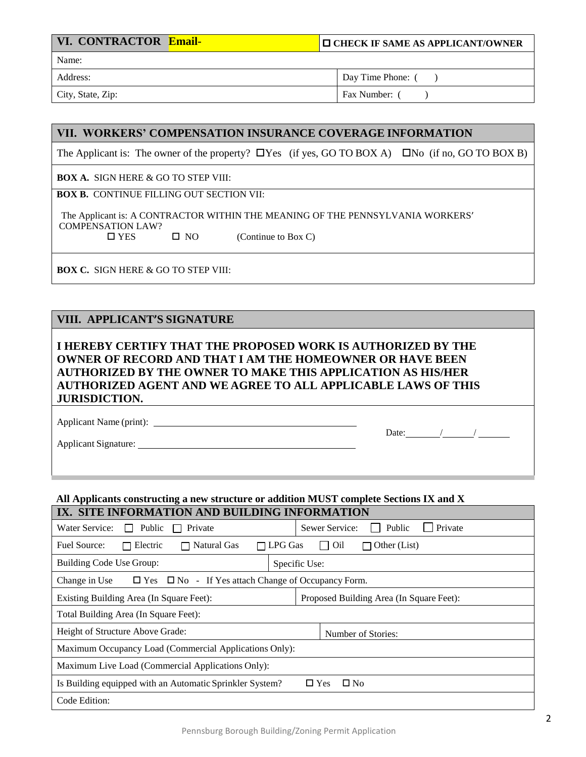| <b>VI. CONTRACTOR Email-</b> | <b>IO CHECK IF SAME AS APPLICANT/OWNER</b> |
|------------------------------|--------------------------------------------|
| Name:                        |                                            |
| Address:                     | Day Time Phone: (                          |
| ----                         | $\sim$                                     |

City, State, Zip: Fax Number: ( )

Date: / /

### **VII. WORKERS' COMPENSATION INSURANCE COVERAGE INFORMATION**

The Applicant is: The owner of the property?  $\Box$  Yes (if yes, GO TO BOX A)  $\Box$  No (if no, GO TO BOX B)

**BOX A.** SIGN HERE & GO TO STEP VIII:

**BOX B.** CONTINUE FILLING OUT SECTION VII:

 The Applicant is: A CONTRACTOR WITHIN THE MEANING OF THE PENNSYLVANIA WORKERS' COMPENSATION LAW?  $\Box$  YES  $\Box$  NO (Continue to Box C)

**BOX C.** SIGN HERE & GO TO STEP VIII:

### **VIII. APPLICANT'S SIGNATURE**

**I HEREBY CERTIFY THAT THE PROPOSED WORK IS AUTHORIZED BY THE OWNER OF RECORD AND THAT I AM THE HOMEOWNER OR HAVE BEEN AUTHORIZED BY THE OWNER TO MAKE THIS APPLICATION AS HIS/HER AUTHORIZED AGENT AND WE AGREE TO ALL APPLICABLE LAWS OF THIS JURISDICTION.**

Applicant Name (print):

Applicant Signature:

#### **All Applicants constructing a new structure or addition MUST complete Sections IX and X IX. SITE INFORMATION AND RUILDING INFORMATION**

| IA. SHE INFONMATION AND DOILDING INFONMATION                                                                   |                                                        |  |  |
|----------------------------------------------------------------------------------------------------------------|--------------------------------------------------------|--|--|
| Public<br>Water Service:<br>Private<br>$\mathbf{L}$<br>$\mathbf{I}$                                            | Private<br>Public<br>Sewer Service:<br><b>Contract</b> |  |  |
| Fuel Source:<br>$\Box$ LPG Gas<br>$\Box$ Other (List)<br>Electric<br>Natural Gas<br>Oil<br>$\blacksquare$<br>П |                                                        |  |  |
| Building Code Use Group:                                                                                       | Specific Use:                                          |  |  |
| Change in Use<br>$\Box$ Yes $\Box$ No - If Yes attach Change of Occupancy Form.                                |                                                        |  |  |
| Existing Building Area (In Square Feet):                                                                       | Proposed Building Area (In Square Feet):               |  |  |
| Total Building Area (In Square Feet):                                                                          |                                                        |  |  |
| Height of Structure Above Grade:                                                                               | Number of Stories:                                     |  |  |
| Maximum Occupancy Load (Commercial Applications Only):                                                         |                                                        |  |  |
| Maximum Live Load (Commercial Applications Only):                                                              |                                                        |  |  |
| Is Building equipped with an Automatic Sprinkler System?                                                       | $\square$ No<br>$\Box$ Yes                             |  |  |
| Code Edition:                                                                                                  |                                                        |  |  |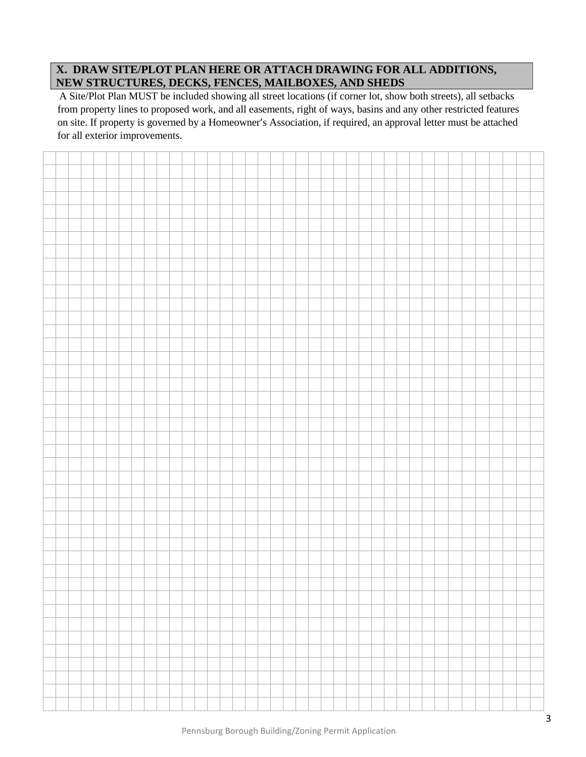# **X. DRAW SITE/PLOT PLAN HERE OR ATTACH DRAWING FOR ALL ADDITIONS, NEW STRUCTURES, DECKS, FENCES, MAILBOXES, AND SHEDS**

A Site/Plot Plan MUST be included showing all street locations (if corner lot, show both streets), all setbacks from property lines to proposed work, and all easements, right of ways, basins and any other restricted features on site. If property is governed by a Homeowner's Association, if required, an approval letter must be attached for all exterior improvements.

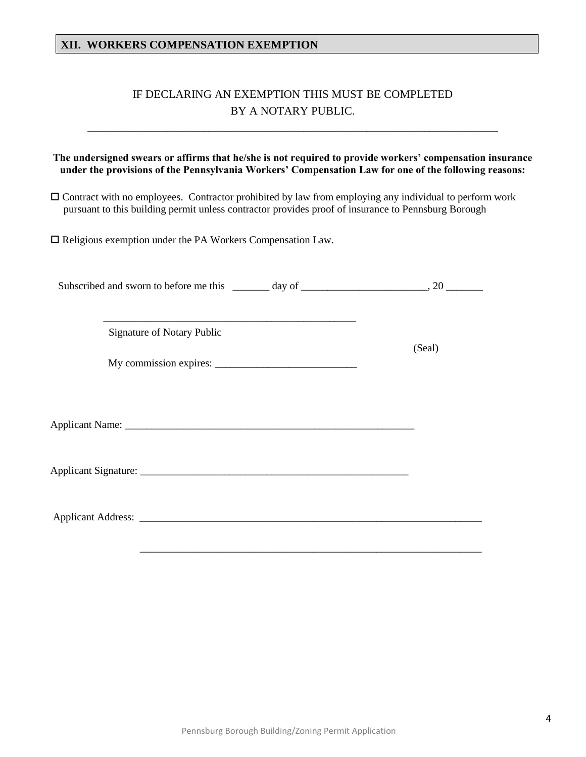### **XII. WORKERS COMPENSATION EXEMPTION**

# IF DECLARING AN EXEMPTION THIS MUST BE COMPLETED BY A NOTARY PUBLIC.

\_\_\_\_\_\_\_\_\_\_\_\_\_\_\_\_\_\_\_\_\_\_\_\_\_\_\_\_\_\_\_\_\_\_\_\_\_\_\_\_\_\_\_\_\_\_\_\_\_\_\_\_\_\_\_\_\_\_\_\_\_\_\_\_\_\_\_\_\_\_\_\_\_\_\_\_\_\_

### **The undersigned swears or affirms that he/she is not required to provide workers' compensation insurance under the provisions of the Pennsylvania Workers' Compensation Law for one of the following reasons:**

 Contract with no employees. Contractor prohibited by law from employing any individual to perform work pursuant to this building permit unless contractor provides proof of insurance to Pennsburg Borough

 $\square$  Religious exemption under the PA Workers Compensation Law.

| Subscribed and sworn to before me this | dav of |  |
|----------------------------------------|--------|--|
|                                        |        |  |

(Seal)

Signature of Notary Public

My commission expires:

\_\_\_\_\_\_\_\_\_\_\_\_\_\_\_\_\_\_\_\_\_\_\_\_\_\_\_\_\_\_\_\_\_\_\_\_\_\_\_\_\_\_\_\_\_\_\_\_

Applicant Name: \_\_\_\_\_\_\_\_\_\_\_\_\_\_\_\_\_\_\_\_\_\_\_\_\_\_\_\_\_\_\_\_\_\_\_\_\_\_\_\_\_\_\_\_\_\_\_\_\_\_\_\_\_\_\_

Applicant Signature: \_\_\_\_\_\_\_\_\_\_\_\_\_\_\_\_\_\_\_\_\_\_\_\_\_\_\_\_\_\_\_\_\_\_\_\_\_\_\_\_\_\_\_\_\_\_\_\_\_\_\_

Applicant Address: \_\_\_\_\_\_\_\_\_\_\_\_\_\_\_\_\_\_\_\_\_\_\_\_\_\_\_\_\_\_\_\_\_\_\_\_\_\_\_\_\_\_\_\_\_\_\_\_\_\_\_\_\_\_\_\_\_\_\_\_\_\_\_\_\_

\_\_\_\_\_\_\_\_\_\_\_\_\_\_\_\_\_\_\_\_\_\_\_\_\_\_\_\_\_\_\_\_\_\_\_\_\_\_\_\_\_\_\_\_\_\_\_\_\_\_\_\_\_\_\_\_\_\_\_\_\_\_\_\_\_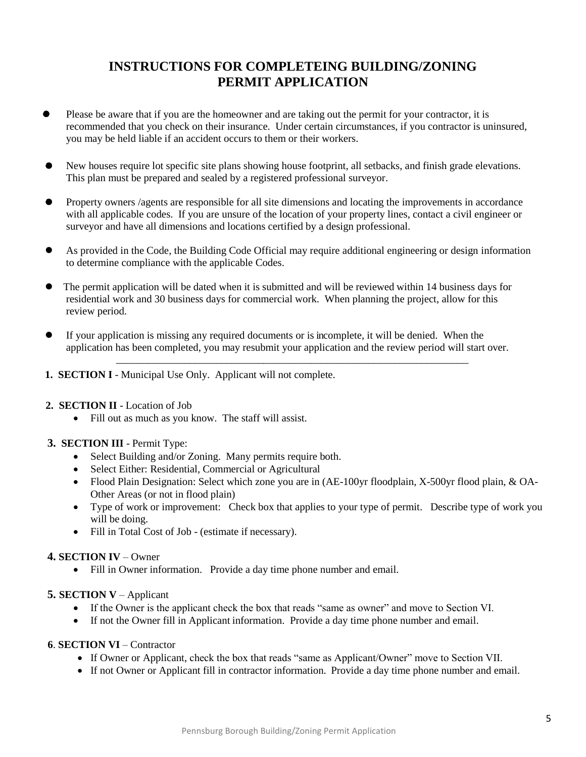# **INSTRUCTIONS FOR COMPLETEING BUILDING/ZONING PERMIT APPLICATION**

- Please be aware that if you are the homeowner and are taking out the permit for your contractor, it is recommended that you check on their insurance. Under certain circumstances, if you contractor is uninsured, you may be held liable if an accident occurs to them or their workers.
- New houses require lot specific site plans showing house footprint, all setbacks, and finish grade elevations. This plan must be prepared and sealed by a registered professional surveyor.
- Property owners /agents are responsible for all site dimensions and locating the improvements in accordance with all applicable codes. If you are unsure of the location of your property lines, contact a civil engineer or surveyor and have all dimensions and locations certified by a design professional.
- As provided in the Code, the Building Code Official may require additional engineering or design information to determine compliance with the applicable Codes.
- The permit application will be dated when it is submitted and will be reviewed within 14 business days for residential work and 30 business days for commercial work. When planning the project, allow for this review period.
- If your application is missing any required documents or is incomplete, it will be denied. When the application has been completed, you may resubmit your application and the review period will start over.

 $\overline{\phantom{a}}$  ,  $\overline{\phantom{a}}$  ,  $\overline{\phantom{a}}$  ,  $\overline{\phantom{a}}$  ,  $\overline{\phantom{a}}$  ,  $\overline{\phantom{a}}$  ,  $\overline{\phantom{a}}$  ,  $\overline{\phantom{a}}$  ,  $\overline{\phantom{a}}$  ,  $\overline{\phantom{a}}$  ,  $\overline{\phantom{a}}$  ,  $\overline{\phantom{a}}$  ,  $\overline{\phantom{a}}$  ,  $\overline{\phantom{a}}$  ,  $\overline{\phantom{a}}$  ,  $\overline{\phantom{a}}$ 

- **1. SECTION I** Municipal Use Only. Applicant will not complete.
- **2. SECTION II** Location of Job
	- Fill out as much as you know. The staff will assist.
- **3. SECTION III** Permit Type:
	- Select Building and/or Zoning. Many permits require both.
	- Select Either: Residential, Commercial or Agricultural
	- Flood Plain Designation: Select which zone you are in (AE-100yr floodplain, X-500yr flood plain, & OA-Other Areas (or not in flood plain)
	- Type of work or improvement: Check box that applies to your type of permit. Describe type of work you will be doing.
	- Fill in Total Cost of Job (estimate if necessary).

### **4. SECTION IV** – Owner

Fill in Owner information. Provide a day time phone number and email.

### **5. SECTION V** – Applicant

- If the Owner is the applicant check the box that reads "same as owner" and move to Section VI.
- If not the Owner fill in Applicant information. Provide a day time phone number and email.

### **6**. **SECTION VI** – Contractor

- If Owner or Applicant, check the box that reads "same as Applicant/Owner" move to Section VII.
- If not Owner or Applicant fill in contractor information. Provide a day time phone number and email.